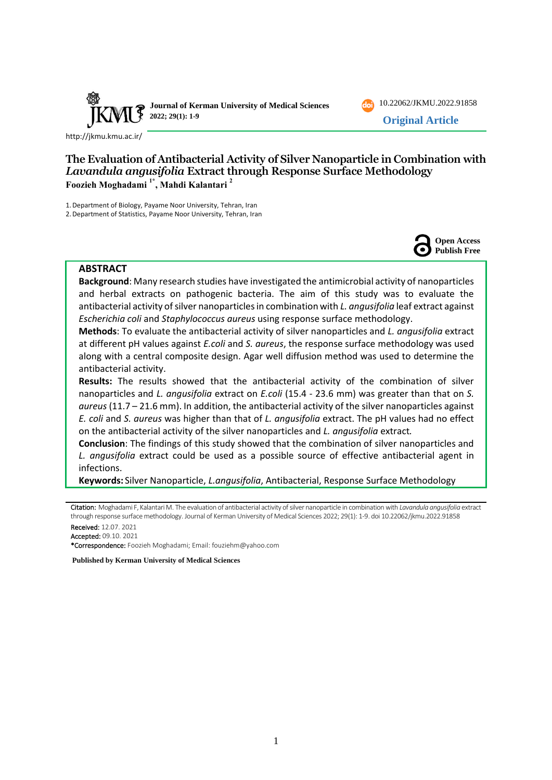

10.22062/JKMU.2022.91858 **Original Article**

<http://jkmu.kmu.ac.ir/>

# **The Evaluation of Antibacterial Activity of Silver Nanoparticle in Combination with**  *Lavandula angusifolia* **Extract through Response Surface Methodology Foozieh Moghadami 1\*, Mahdi Kalantari <sup>2</sup>**

1.Department of Biology, Payame Noor University, Tehran, Iran

2.Department of Statistics, Payame Noor University, Tehran, Iran



## **ABSTRACT**

**Background**: Many research studies have investigated the antimicrobial activity of nanoparticles and herbal extracts on pathogenic bacteria. The aim of this study was to evaluate the antibacterial activity of silver nanoparticles in combination with *L. angusifolia* leaf extract against *Escherichia coli* and *Staphylococcus aureus* using response surface methodology.

**Methods**: To evaluate the antibacterial activity of silver nanoparticles and *L. angusifolia* extract at different pH values against *E.coli* and *S. aureus*, the response surface methodology was used along with a central composite design. Agar well diffusion method was used to determine the antibacterial activity.

**Results:** The results showed that the antibacterial activity of the combination of silver nanoparticles and *L. angusifolia* extract on *E.coli* (15.4 - 23.6 mm) was greater than that on *S. aureus* (11.7 – 21.6 mm). In addition, the antibacterial activity of the silver nanoparticles against *E. coli* and *S. aureus* was higher than that of *L. angusifolia* extract. The pH values had no effect on the antibacterial activity of the silver nanoparticles and *L. angusifolia* extract*.*

**Conclusion**: The findings of this study showed that the combination of silver nanoparticles and *L. angusifolia* extract could be used as a possible source of effective antibacterial agent in infections.

**Keywords:** Silver Nanoparticle, *L.angusifolia*, Antibacterial, Response Surface Methodology

Citation: Moghadami F, Kalantari M. The evaluation of antibacterial activity of silver nanoparticle in combination with *Lavandula angusifolia* extract through response surface methodology. Journal of Kerman University of Medical Sciences 2022; 29(1): 1-9. doi 10.22062/jkmu.2022.91858

Received: 12.07. 2021 Accepted: 09.10. 2021

\*Correspondence: Foozieh Moghadami; Email: [fouziehm@yahoo.com](mailto:fouziehm@yahoo.com) 

**Published by Kerman University of Medical Sciences**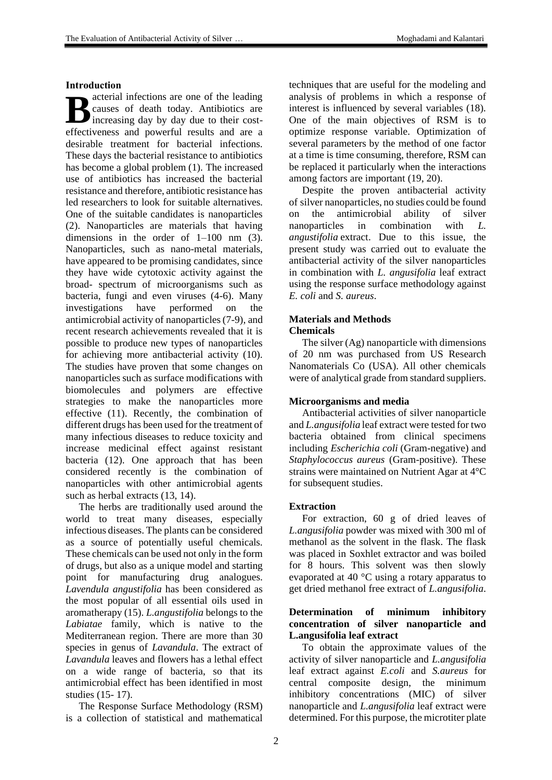## **Introduction**

acterial infections are one of the leading causes of death today. Antibiotics are increasing day by day due to their cost-**B** causes of death today. Antibiotics are increasing day by day due to their cost-<br>effectiveness and powerful results and are a desirable treatment for bacterial infections. These days the bacterial resistance to antibiotics has become a global problem (1). The increased use of antibiotics has increased the bacterial resistance and therefore, antibiotic resistance has led researchers to look for suitable alternatives. One of the suitable candidates is nanoparticles (2). Nanoparticles are materials that having dimensions in the order of 1–100 nm (3). Nanoparticles, such as nano-metal materials, have appeared to be promising candidates, since they have wide cytotoxic activity against the broad- spectrum of microorganisms such as bacteria, fungi and even viruses (4-6). Many investigations have performed on the antimicrobial activity of nanoparticles (7-9), and recent research achievements revealed that it is possible to produce new types of nanoparticles for achieving more antibacterial activity (10). The studies have proven that some changes on nanoparticles such as surface modifications with biomolecules and polymers are effective strategies to make the nanoparticles more effective (11). Recently, the combination of different drugs has been used for the treatment of many infectious diseases to reduce toxicity and increase medicinal effect against resistant bacteria (12). One approach that has been considered recently is the combination of nanoparticles with other antimicrobial agents such as herbal extracts (13, 14).

The herbs are traditionally used around the world to treat many diseases, especially infectious diseases. The plants can be considered as a source of potentially useful chemicals. These chemicals can be used not only in the form of drugs, but also as a unique model and starting point for manufacturing drug analogues. *Lavendula angustifolia* has been considered as the most popular of all essential oils used in aromatherapy (15). *L.angustifolia* belongs to the *Labiatae* family, which is native to the Mediterranean region. There are more than 30 species in genus of *Lavandula*. The extract of *Lavandula* leaves and flowers has a lethal effect on a wide range of bacteria, so that its antimicrobial effect has been identified in most studies (15- 17).

The Response Surface Methodology (RSM) is a collection of statistical and mathematical techniques that are useful for the modeling and analysis of problems in which a response of interest is influenced by several variables (18). One of the main objectives of RSM is to optimize response variable. Optimization of several parameters by the method of one factor at a time is time consuming, therefore, RSM can be replaced it particularly when the interactions among factors are important (19, 20).

Despite the proven antibacterial activity of silver nanoparticles, no studies could be found on the antimicrobial ability of silver nanoparticles in combination with *L. angustifolia* extract. Due to this issue, the present study was carried out to evaluate the antibacterial activity of the silver nanoparticles in combination with *L. angusifolia* leaf extract using the response surface methodology against *E. coli* and *S. aureus*.

# **Materials and Methods**

**Chemicals**

The silver (Ag) nanoparticle with dimensions of 20 nm was purchased from US Research Nanomaterials Co (USA). All other chemicals were of analytical grade from standard suppliers.

## **Microorganisms and media**

Antibacterial activities of silver nanoparticle and *L.angusifolia* leaf extract were tested for two bacteria obtained from clinical specimens including *Escherichia coli* (Gram-negative) and *Staphylococcus aureus* (Gram-positive). These strains were maintained on Nutrient Agar at 4°C for subsequent studies.

## **Extraction**

For extraction, 60 g of dried leaves of *L.angusifolia* powder was mixed with 300 ml of methanol as the solvent in the flask. The flask was placed in Soxhlet extractor and was boiled for 8 hours. This solvent was then slowly evaporated at 40 °C using a rotary apparatus to get dried methanol free extract of *L.angusifolia*.

# **Determination of minimum inhibitory concentration of silver nanoparticle and L.angusifolia leaf extract**

To obtain the approximate values of the activity of silver nanoparticle and *L.angusifolia* leaf extract against *E.coli* and *S.aureus* for central composite design, the minimum inhibitory concentrations (MIC) of silver nanoparticle and *L.angusifolia* leaf extract were determined. For this purpose, the microtiter plate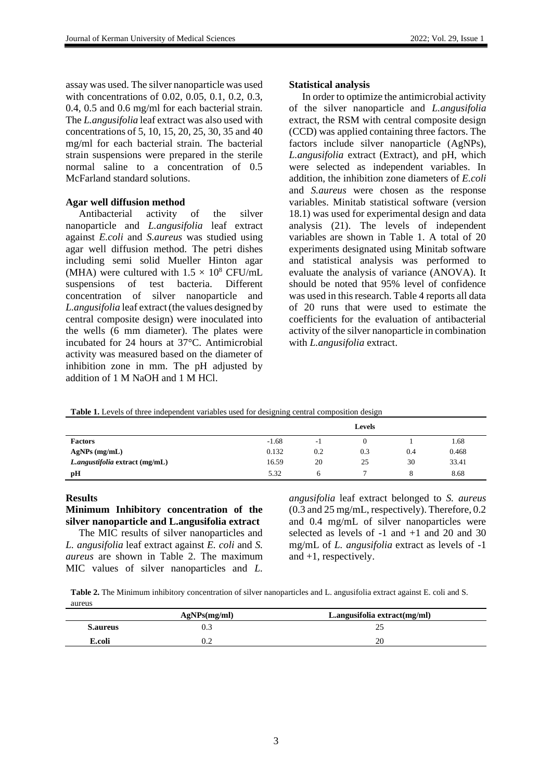assay was used. The silver nanoparticle was used with concentrations of 0.02, 0.05, 0.1, 0.2, 0.3, 0.4, 0.5 and 0.6 mg/ml for each bacterial strain. The *L.angusifolia* leaf extract was also used with concentrations of 5, 10, 15, 20, 25, 30, 35 and 40 mg/ml for each bacterial strain. The bacterial strain suspensions were prepared in the sterile normal saline to a concentration of 0.5 McFarland standard solutions.

## **Agar well diffusion method**

Antibacterial activity of the silver nanoparticle and *L.angusifolia* leaf extract against *E.coli* and *S.aureus* was studied using agar well diffusion method. The petri dishes including semi solid Mueller Hinton agar (MHA) were cultured with  $1.5 \times 10^8$  CFU/mL suspensions of test bacteria. Different concentration of silver nanoparticle and *L.angusifolia* leaf extract (the values designed by central composite design) were inoculated into the wells (6 mm diameter). The plates were incubated for 24 hours at 37°C. Antimicrobial activity was measured based on the diameter of inhibition zone in mm. The pH adjusted by addition of 1 M NaOH and 1 M HCl.

## **Statistical analysis**

In order to optimize the antimicrobial activity of the silver nanoparticle and *L.angusifolia* extract, the RSM with central composite design (CCD) was applied containing three factors. The factors include silver nanoparticle (AgNPs), *L.angusifolia* extract (Extract), and pH, which were selected as independent variables. In addition, the inhibition zone diameters of *E.coli* and *S.aureus* were chosen as the response variables. Minitab statistical software (version 18.1) was used for experimental design and data analysis (21). The levels of independent variables are shown in Table 1. A total of 20 experiments designated using Minitab software and statistical analysis was performed to evaluate the analysis of variance (ANOVA). It should be noted that 95% level of confidence was used in this research. Table 4 reports all data of 20 runs that were used to estimate the coefficients for the evaluation of antibacterial activity of the silver nanoparticle in combination with *L.angusifolia* extract.

**Table 1.** Levels of three independent variables used for designing central composition design

|                                |         |                | <b>Levels</b> |     |       |
|--------------------------------|---------|----------------|---------------|-----|-------|
| <b>Factors</b>                 | $-1.68$ | $\overline{a}$ |               |     | 1.68  |
| $AgNPs$ (mg/mL)                | 0.132   | 0.2            | 0.3           | 0.4 | 0.468 |
| L.angustifolia extract (mg/mL) | 16.59   | 20             | 25            | 30  | 33.41 |
| рH                             | 5.32    | h              |               |     | 8.68  |

## **Results**

**Minimum Inhibitory concentration of the silver nanoparticle and L.angusifolia extract**  The MIC results of silver nanoparticles and

*L. angusifolia* leaf extract against *E. coli* and *S. aureus* are shown in Table 2. The maximum MIC values of silver nanoparticles and *L.* 

*angusifolia* leaf extract belonged to *S. aureus* (0.3 and 25 mg/mL, respectively). Therefore, 0.2 and 0.4 mg/mL of silver nanoparticles were selected as levels of  $-1$  and  $+1$  and 20 and 30 mg/mL of *L. angusifolia* extract as levels of -1 and +1, respectively.

**Table 2.** The Minimum inhibitory concentration of silver nanoparticles and L. angusifolia extract against E. coli and S. aureus

|                 | AgNPs(mg/ml) | L.angusifolia extract $(mg/ml)$ |
|-----------------|--------------|---------------------------------|
| <b>S.aureus</b> |              |                                 |
| E.coli          |              | 20                              |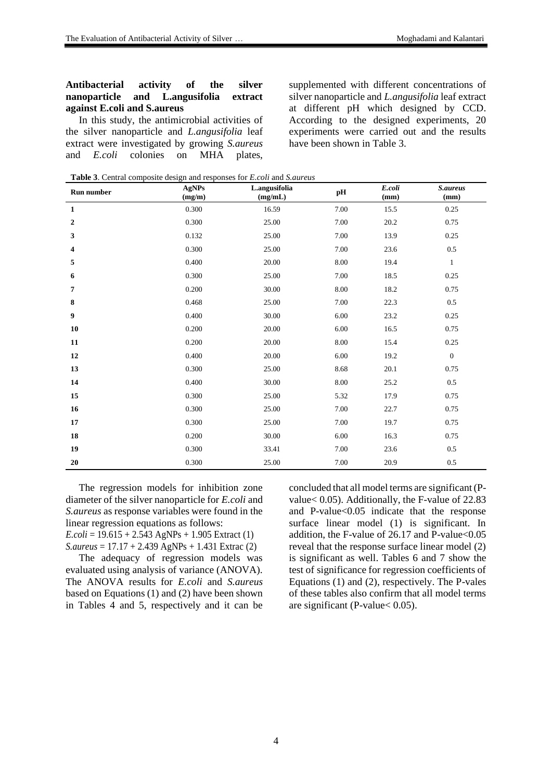## **Antibacterial activity of the silver nanoparticle and L.angusifolia extract against E.coli and S.aureus**

In this study, the antimicrobial activities of the silver nanoparticle and *L.angusifolia* leaf extract were investigated by growing *S.aureus*  and *E.coli* colonies on MHA plates, supplemented with different concentrations of silver nanoparticle and *L.angusifolia* leaf extract at different pH which designed by CCD. According to the designed experiments, 20 experiments were carried out and the results have been shown in Table 3.

**Table 3**. Central composite design and responses for *E.coli* and *S.aureus*

| <b>Run number</b> | <b>AgNPs</b><br>(mg/m) | L.angusifolia<br>(mg/mL) | pH       | E.coli<br>(mm) | S.aureus<br>(mm) |
|-------------------|------------------------|--------------------------|----------|----------------|------------------|
| $\mathbf{1}$      | 0.300                  | 16.59                    | 7.00     | 15.5           | 0.25             |
| 2                 | 0.300                  | 25.00                    | 7.00     | 20.2           | 0.75             |
| 3                 | 0.132                  | 25.00                    | 7.00     | 13.9           | 0.25             |
| 4                 | 0.300                  | 25.00                    | 7.00     | 23.6           | $0.5\,$          |
| 5                 | 0.400                  | 20.00                    | 8.00     | 19.4           | $\mathbf{1}$     |
| 6                 | 0.300                  | 25.00                    | $7.00\,$ | 18.5           | 0.25             |
| 7                 | 0.200                  | 30.00                    | 8.00     | 18.2           | 0.75             |
| 8                 | 0.468                  | 25.00                    | 7.00     | 22.3           | $0.5\,$          |
| 9                 | 0.400                  | 30.00                    | 6.00     | 23.2           | 0.25             |
| 10                | 0.200                  | $20.00\,$                | 6.00     | 16.5           | 0.75             |
| 11                | 0.200                  | 20.00                    | 8.00     | 15.4           | 0.25             |
| 12                | 0.400                  | 20.00                    | 6.00     | 19.2           | $\boldsymbol{0}$ |
| 13                | 0.300                  | 25.00                    | 8.68     | 20.1           | 0.75             |
| 14                | 0.400                  | 30.00                    | $8.00\,$ | 25.2           | $0.5\,$          |
| 15                | 0.300                  | 25.00                    | 5.32     | 17.9           | 0.75             |
| 16                | 0.300                  | 25.00                    | 7.00     | 22.7           | 0.75             |
| 17                | 0.300                  | 25.00                    | 7.00     | 19.7           | 0.75             |
| 18                | 0.200                  | 30.00                    | 6.00     | 16.3           | 0.75             |
| 19                | 0.300                  | 33.41                    | 7.00     | 23.6           | $0.5\,$          |
| 20                | 0.300                  | 25.00                    | 7.00     | 20.9           | $0.5\,$          |

The regression models for inhibition zone diameter of the silver nanoparticle for *E.coli* and *S.aureus* as response variables were found in the linear regression equations as follows: *E.coli* = 19.615 + 2.543 AgNPs + 1.905 Extract (1) *S.aureus* = 17.17 + 2.439 AgNPs + 1.431 Extrac (2)

The adequacy of regression models was evaluated using analysis of variance (ANOVA). The ANOVA results for *E.coli* and *S.aureus* based on Equations (1) and (2) have been shown in Tables 4 and 5, respectively and it can be

concluded that all model terms are significant (Pvalue< 0.05). Additionally, the F-value of 22.83 and P-value<0.05 indicate that the response surface linear model (1) is significant. In addition, the F-value of  $26.17$  and P-value <  $0.05$ reveal that the response surface linear model (2) is significant as well. Tables 6 and 7 show the test of significance for regression coefficients of Equations (1) and (2), respectively. The P-vales of these tables also confirm that all model terms are significant (P-value< 0.05).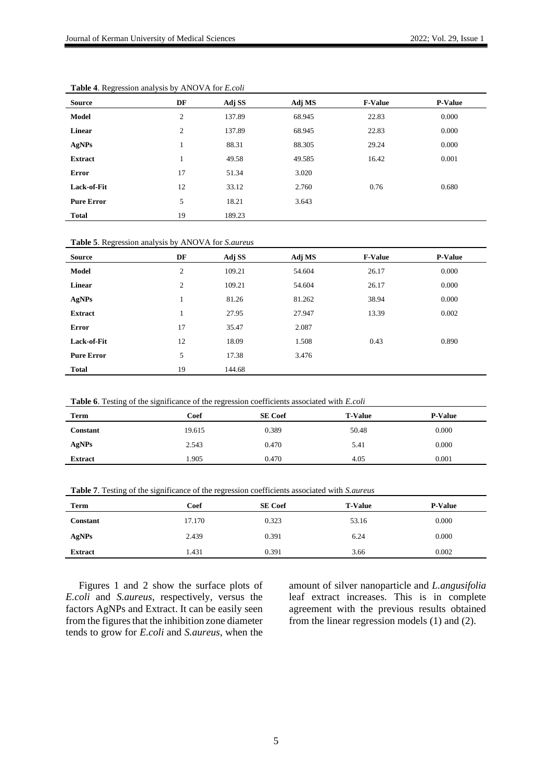| Source            | DF | Adj SS | Adj MS | <b>F-Value</b> | <b>P-Value</b> |
|-------------------|----|--------|--------|----------------|----------------|
| <b>Model</b>      | 2  | 137.89 | 68.945 | 22.83          | 0.000          |
| <b>Linear</b>     | 2  | 137.89 | 68.945 | 22.83          | 0.000          |
| AgNPs             |    | 88.31  | 88.305 | 29.24          | 0.000          |
| <b>Extract</b>    |    | 49.58  | 49.585 | 16.42          | 0.001          |
| <b>Error</b>      | 17 | 51.34  | 3.020  |                |                |
| Lack-of-Fit       | 12 | 33.12  | 2.760  | 0.76           | 0.680          |
| <b>Pure Error</b> | 5  | 18.21  | 3.643  |                |                |
| <b>Total</b>      | 19 | 189.23 |        |                |                |

**Table 4**. Regression analysis by ANOVA for *E.coli*

**Table 5**. Regression analysis by ANOVA for *S.aureus*

| <b>Source</b>     | DF             | Adj SS | Adj MS | <b>F-Value</b> | <b>P-Value</b> |
|-------------------|----------------|--------|--------|----------------|----------------|
| Model             | 2              | 109.21 | 54.604 | 26.17          | 0.000          |
| Linear            | $\overline{c}$ | 109.21 | 54.604 | 26.17          | 0.000          |
| AgNPs             | $\mathbf{I}$   | 81.26  | 81.262 | 38.94          | 0.000          |
| <b>Extract</b>    |                | 27.95  | 27.947 | 13.39          | 0.002          |
| <b>Error</b>      | 17             | 35.47  | 2.087  |                |                |
| Lack-of-Fit       | 12             | 18.09  | 1.508  | 0.43           | 0.890          |
| <b>Pure Error</b> | 5              | 17.38  | 3.476  |                |                |
| <b>Total</b>      | 19             | 144.68 |        |                |                |

| <b>Table 6.</b> Testing of the significance of the regression coefficients associated with <i>E.coli</i> |  |  |
|----------------------------------------------------------------------------------------------------------|--|--|
|----------------------------------------------------------------------------------------------------------|--|--|

| <b>Term</b>    | Coef   | <b>SE</b> Coef | <b>T-Value</b> | <b>P-Value</b> |
|----------------|--------|----------------|----------------|----------------|
| Constant       | 19.615 | 0.389          | 50.48          | 0.000          |
| AgNPs          | 2.543  | 0.470          | 5.41           | 0.000          |
| <b>Extract</b> | 1.905  | 0.470          | 4.05           | 0.001          |

| <b>Table 7.</b> Testing of the significance of the regression coefficients associated with <i>S. aureus</i> |  |
|-------------------------------------------------------------------------------------------------------------|--|
|-------------------------------------------------------------------------------------------------------------|--|

| <b>Term</b>    | Coef   | <b>SE</b> Coef | <b>T-Value</b> | <b>P-Value</b> |
|----------------|--------|----------------|----------------|----------------|
| Constant       | 17.170 | 0.323          | 53.16          | 0.000          |
| AgNPs          | 2.439  | 0.391          | 6.24           | 0.000          |
| <b>Extract</b> | 1.431  | 0.391          | 3.66           | 0.002          |

Figures 1 and 2 show the surface plots of *E.coli* and *S.aureus*, respectively, versus the factors AgNPs and Extract. It can be easily seen from the figures that the inhibition zone diameter tends to grow for *E.coli* and *S.aureus*, when the amount of silver nanoparticle and *L.angusifolia* leaf extract increases. This is in complete agreement with the previous results obtained from the linear regression models (1) and (2).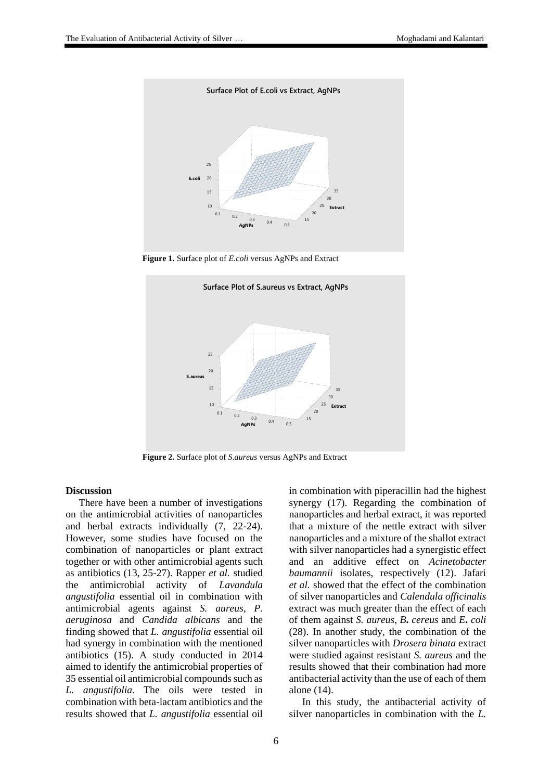

**Figure 1.** Surface plot of *E.coli* versus AgNPs and Extract



**Figure 2.** Surface plot of *S.aureus* versus AgNPs and Extract

#### **Discussion**

There have been a number of investigations on the antimicrobial activities of nanoparticles and herbal extracts individually (7, 22-24). However, some studies have focused on the combination of nanoparticles or plant extract together or with other antimicrobial agents such as antibiotics (13, 25-27). Rapper *et al.* studied the antimicrobial activity of *Lavandula angustifolia* essential oil in combination with antimicrobial agents against *S. aureus*, *P. aeruginosa* and *Candida albicans* and the finding showed that *L. angustifolia* essential oil had synergy in combination with the mentioned antibiotics (15). A study conducted in 2014 aimed to identify the antimicrobial properties of 35 essential oil antimicrobial compounds such as *L. angustifolia*. The oils were tested in combination with beta-lactam antibiotics and the results showed that *L. angustifolia* essential oil in combination with piperacillin had the highest synergy (17). Regarding the combination of nanoparticles and herbal extract, it was reported that a mixture of the nettle extract with silver nanoparticles and a mixture of the shallot extract with silver nanoparticles had a synergistic effect and an additive effect on *Acinetobacter baumannii* isolates, respectively (12). Jafari *et al.* showed that the effect of the combination of silver nanoparticles and *Calendula officinalis*  extract was much greater than the effect of each of them against *S. aureus*, *B***.** *cereus* and *E***.** *coli* (28). In another study, the combination of the silver nanoparticles with *Drosera binata* extract were studied against resistant *S. aureus* and the results showed that their combination had more antibacterial activity than the use of each of them alone (14).

In this study, the antibacterial activity of silver nanoparticles in combination with the *L.*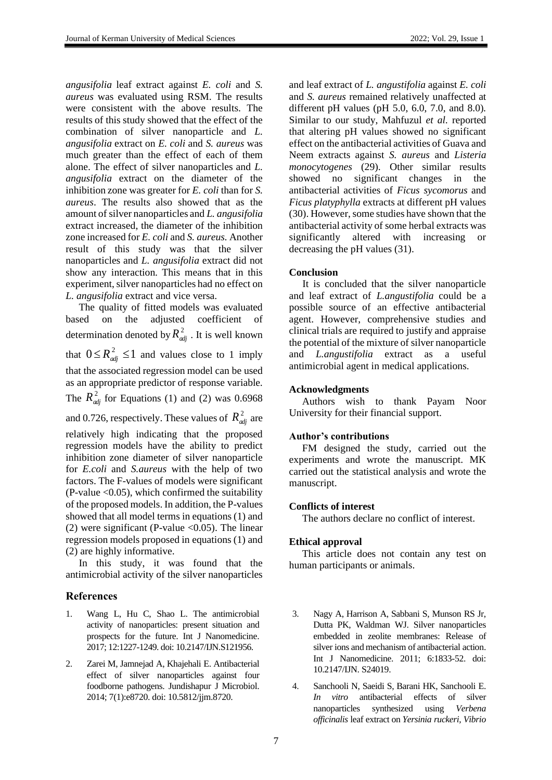*angusifolia* leaf extract against *E. coli* and *S. aureus* was evaluated using RSM. The results were consistent with the above results. The results of this study showed that the effect of the combination of silver nanoparticle and *L. angusifolia* extract on *E. coli* and *S. aureus* was much greater than the effect of each of them alone. The effect of silver nanoparticles and *L. angusifolia* extract on the diameter of the inhibition zone was greater for *E. coli* than for *S. aureus*. The results also showed that as the amount of silver nanoparticles and *L. angusifolia* extract increased, the diameter of the inhibition zone increased for *E. coli* and *S. aureus.* Another result of this study was that the silver nanoparticles and *L. angusifolia* extract did not show any interaction. This means that in this experiment, silver nanoparticles had no effect on *L. angusifolia* extract and vice versa.

The quality of fitted models was evaluated based on the adjusted coefficient of determination denoted by  $R_{adj}^2$ . It is well known that  $0 \leq R_{adj}^2 \leq 1$  and values close to 1 imply that the associated regression model can be used as an appropriate predictor of response variable. The  $R_{adj}^2$  for Equations (1) and (2) was 0.6968 and 0.726, respectively. These values of  $R_{\text{adj}}^2$  are relatively high indicating that the proposed regression models have the ability to predict inhibition zone diameter of silver nanoparticle for *E.coli* and *S.aureus* with the help of two factors. The F-values of models were significant  $(P-value < 0.05)$ , which confirmed the suitability of the proposed models. In addition, the P-values showed that all model terms in equations (1) and (2) were significant (P-value  $< 0.05$ ). The linear regression models proposed in equations (1) and (2) are highly informative.

In this study, it was found that the antimicrobial activity of the silver nanoparticles

## **References**

- 1. Wang L, Hu C, Shao L. The antimicrobial activity of nanoparticles: present situation and prospects for the future. Int J Nanomedicine. 2017; 12:1227-1249. doi: 10.2147/IJN.S121956.
- 2. Zarei M, Jamnejad A, Khajehali E. Antibacterial effect of silver nanoparticles against four foodborne pathogens. Jundishapur J Microbiol. 2014; 7(1):e8720. doi: 10.5812/jjm.8720.

and leaf extract of *L. angustifolia* against *E. coli* and *S. aureus* remained relatively unaffected at different pH values (pH 5.0, 6.0, 7.0, and 8.0)*.* Similar to our study, Mahfuzul *et al.* reported that altering pH values showed no significant effect on the antibacterial activities of Guava and Neem extracts against *S. aureus* and *Listeria monocytogenes* (29). Other similar results showed no significant changes in the antibacterial activities of *Ficus sycomorus* and *Ficus platyphylla* extracts at different pH values (30). However, some studies have shown that the antibacterial activity of some herbal extracts was significantly altered with increasing or decreasing the pH values (31).

## **Conclusion**

It is concluded that the silver nanoparticle and leaf extract of *L.angustifolia* could be a possible source of an effective antibacterial agent. However, comprehensive studies and clinical trials are required to justify and appraise the potential of the mixture of silver nanoparticle and *L.angustifolia* extract as a useful antimicrobial agent in medical applications.

## **Acknowledgments**

Authors wish to thank Payam Noor University for their financial support.

#### **Author's contributions**

FM designed the study, carried out the experiments and wrote the manuscript. MK carried out the statistical analysis and wrote the manuscript.

#### **Conflicts of interest**

The authors declare no conflict of interest.

## **Ethical approval**

This article does not contain any test on human participants or animals.

- 3. Nagy A, Harrison A, Sabbani S, Munson RS Jr, Dutta PK, Waldman WJ. Silver nanoparticles embedded in zeolite membranes: Release of silver ions and mechanism of antibacterial action. Int J Nanomedicine. 2011; 6:1833-52. doi: 10.2147/IJN. S24019.
- 4. Sanchooli N, Saeidi S, Barani HK, Sanchooli E. *In vitro* antibacterial effects of silver nanoparticles synthesized using *Verbena officinalis* leaf extract on *Yersinia ruckeri, Vibrio*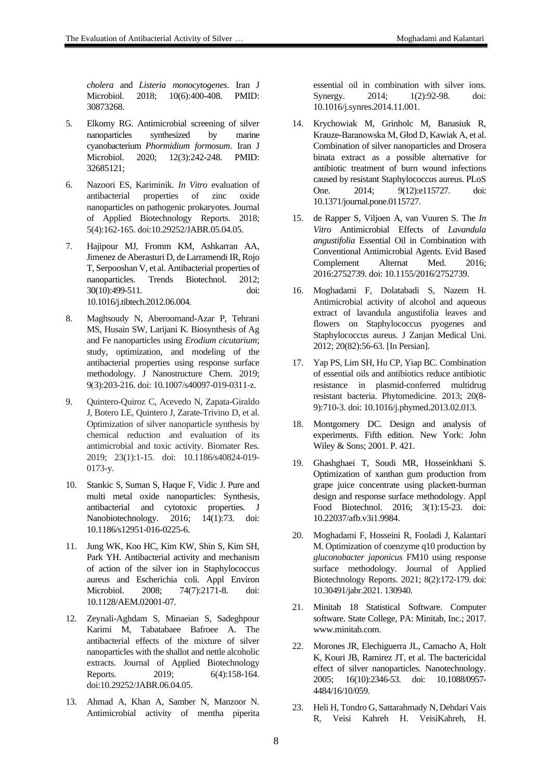*cholera* and *Listeria monocytogenes*. Iran J Microbiol. 2018; 10(6):400-408. PMID: 30873268.

- 5. Elkomy RG. Antimicrobial screening of silver nanoparticles synthesized by marine cyanobacterium *Phormidium formosum*. Iran J Microbiol. 2020; 12(3):242-248. PMID: 32685121;
- 6. Nazoori ES, Kariminik. *In Vitro* evaluation of antibacterial properties of zinc oxide nanoparticles on pathogenic prokaryotes. Journal of Applied Biotechnology Reports. 2018; 5(4):162-165. doi:10.29252/JABR.05.04.05.
- 7. Hajipour MJ, Fromm KM, Ashkarran AA, Jimenez de Aberasturi D, de Larramendi IR, Rojo T, Serpooshan V, et al. Antibacterial properties of nanoparticles. Trends Biotechnol. 2012; 30(10):499-511. doi: 10.1016/j.tibtech.2012.06.004.
- 8. Maghsoudy N, Aberoomand-Azar P, Tehrani MS, Husain SW, Larijani K. Biosynthesis of Ag and Fe nanoparticles using *Erodium cicutarium*; study, optimization, and modeling of the antibacterial properties using response surface methodology. J Nanostructure Chem. 2019; 9(3):203-216. doi: 10.1007/s40097-019-0311-z.
- 9. Quintero-Quiroz C, Acevedo N, Zapata-Giraldo J, Botero LE, Quintero J, Zarate-Trivino D, et al. Optimization of silver nanoparticle synthesis by chemical reduction and evaluation of its antimicrobial and toxic activity. Biomater Res. 2019; 23(1):1-15. doi: 10.1186/s40824-019- 0173-y.
- 10. Stankic S, Suman S, Haque F, Vidic J. Pure and multi metal oxide nanoparticles: Synthesis, antibacterial and cytotoxic properties. J Nanobiotechnology. 2016; 14(1):73. doi: 10.1186/s12951-016-0225-6.
- 11. Jung WK, Koo HC, Kim KW, Shin S, Kim SH, Park YH. Antibacterial activity and mechanism of action of the silver ion in Staphylococcus aureus and Escherichia coli. Appl Environ Microbiol. 2008; 74(7):2171-8. doi: 10.1128/AEM.02001-07.
- 12. Zeynali-Aghdam S, Minaeian S, Sadeghpour Karimi M, Tabatabaee Bafroee A. The antibacterial effects of the mixture of silver nanoparticles with the shallot and nettle alcoholic extracts. Journal of Applied Biotechnology Reports. 2019; 6(4):158-164. doi:10.29252/JABR.06.04.05.
- 13. Ahmad A, Khan A, Samber N, Manzoor N. Antimicrobial activity of mentha piperita

essential oil in combination with silver ions. Synergy. 2014; 1(2):92-98. doi: 10.1016/j.synres.2014.11.001.

- 14. Krychowiak M, Grinholc M, Banasiuk R, Krauze-Baranowska M, Głod D, Kawiak A, et al. Combination of silver nanoparticles and Drosera binata extract as a possible alternative for antibiotic treatment of burn wound infections caused by resistant Staphylococcus aureus. PLoS One. 2014; 9(12):e115727. doi: 10.1371/journal.pone.0115727.
- 15. de Rapper S, Viljoen A, van Vuuren S. The *In Vitro* Antimicrobial Effects of *Lavandula angustifolia* Essential Oil in Combination with Conventional Antimicrobial Agents. Evid Based Complement Alternat Med. 2016; 2016:2752739. doi: 10.1155/2016/2752739.
- 16. Moghadami F, Dolatabadi S, Nazem H. Antimicrobial activity of alcohol and aqueous extract of lavandula angustifolia leaves and flowers on Staphylococcus pyogenes and Staphylococcus aureus. J Zanjan Medical Uni. 2012; 20(82):56-63. [In Persian].
- 17. Yap PS, Lim SH, Hu CP, Yiap BC. Combination of essential oils and antibiotics reduce antibiotic resistance in plasmid-conferred multidrug resistant bacteria. Phytomedicine. 2013; 20(8- 9):710-3. doi: 10.1016/j.phymed.2013.02.013.
- 18. Montgomery DC. Design and analysis of experiments. Fifth edition. New York: John Wiley & Sons; 2001. P. 421.
- 19. Ghashghaei T, Soudi MR, Hosseinkhani S. Optimization of xanthan gum production from grape juice concentrate using plackett-burman design and response surface methodology. Appl Food Biotechnol. 2016; 3(1):15-23. doi: 10.22037/afb.v3i1.9984.
- 20. Moghadami F, Hosseini R, Fooladi J, Kalantari M. Optimization of coenzyme q10 production by *gluconobacter japonicus* FM10 using response surface methodology. Journal of Applied Biotechnology Reports. 2021; 8(2):172-179. doi: 10.30491/jabr.2021. 130940.
- 21. Minitab 18 Statistical Software. Computer software. State College, PA: Minitab, Inc.; 2017. www.minitab.com.
- 22. Morones JR, Elechiguerra JL, Camacho A, Holt K, Kouri JB, Ramirez JT, et al. The bactericidal effect of silver nanoparticles. Nanotechnology. 2005; 16(10):2346-53. doi: 10.1088/0957- 4484/16/10/059.
- 23. Heli H, Tondro G, Sattarahmady N, Dehdari Vais R, Veisi Kahreh H. VeisiKahreh, H.